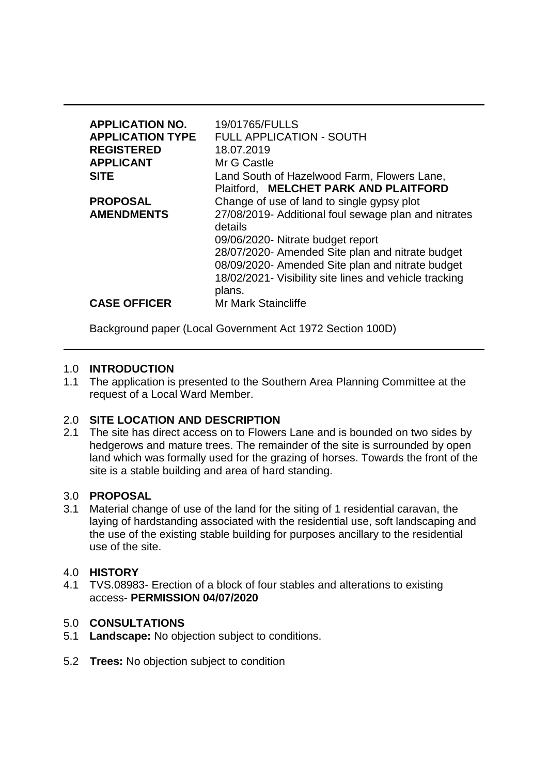| <b>APPLICATION NO.</b><br><b>APPLICATION TYPE</b><br><b>REGISTERED</b><br><b>APPLICANT</b><br><b>SITE</b> | 19/01765/FULLS<br><b>FULL APPLICATION - SOUTH</b><br>18.07.2019<br>Mr G Castle<br>Land South of Hazelwood Farm, Flowers Lane,                                                                                                                                                                                                                                           |
|-----------------------------------------------------------------------------------------------------------|-------------------------------------------------------------------------------------------------------------------------------------------------------------------------------------------------------------------------------------------------------------------------------------------------------------------------------------------------------------------------|
| <b>PROPOSAL</b><br><b>AMENDMENTS</b>                                                                      | Plaitford, MELCHET PARK AND PLAITFORD<br>Change of use of land to single gypsy plot<br>27/08/2019- Additional foul sewage plan and nitrates<br>details<br>09/06/2020- Nitrate budget report<br>28/07/2020- Amended Site plan and nitrate budget<br>08/09/2020- Amended Site plan and nitrate budget<br>18/02/2021- Visibility site lines and vehicle tracking<br>plans. |
| <b>CASE OFFICER</b>                                                                                       | Mr Mark Staincliffe                                                                                                                                                                                                                                                                                                                                                     |

Background paper (Local Government Act 1972 Section 100D)

### 1.0 **INTRODUCTION**

1.1 The application is presented to the Southern Area Planning Committee at the request of a Local Ward Member.

### 2.0 **SITE LOCATION AND DESCRIPTION**

2.1 The site has direct access on to Flowers Lane and is bounded on two sides by hedgerows and mature trees. The remainder of the site is surrounded by open land which was formally used for the grazing of horses. Towards the front of the site is a stable building and area of hard standing.

### 3.0 **PROPOSAL**

3.1 Material change of use of the land for the siting of 1 residential caravan, the laying of hardstanding associated with the residential use, soft landscaping and the use of the existing stable building for purposes ancillary to the residential use of the site.

### 4.0 **HISTORY**

4.1 TVS.08983- Erection of a block of four stables and alterations to existing access- **PERMISSION 04/07/2020**

### 5.0 **CONSULTATIONS**

- 5.1 **Landscape:** No objection subject to conditions.
- 5.2 **Trees:** No objection subject to condition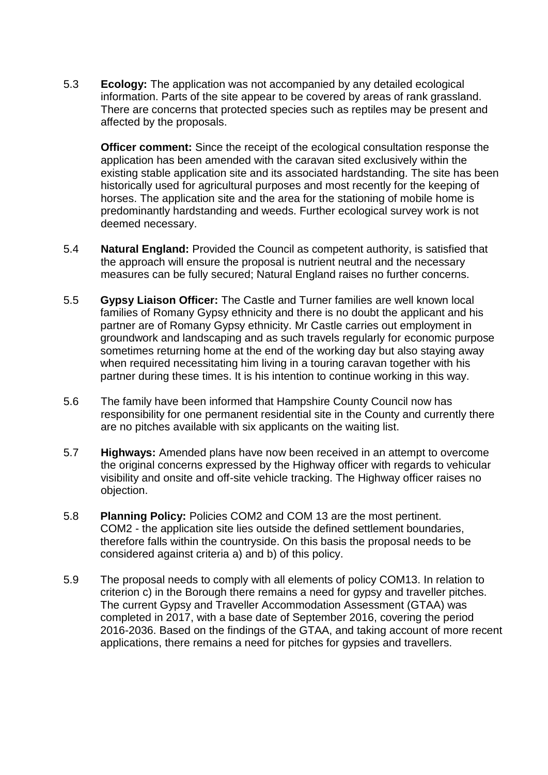5.3 **Ecology:** The application was not accompanied by any detailed ecological information. Parts of the site appear to be covered by areas of rank grassland. There are concerns that protected species such as reptiles may be present and affected by the proposals.

**Officer comment:** Since the receipt of the ecological consultation response the application has been amended with the caravan sited exclusively within the existing stable application site and its associated hardstanding. The site has been historically used for agricultural purposes and most recently for the keeping of horses. The application site and the area for the stationing of mobile home is predominantly hardstanding and weeds. Further ecological survey work is not deemed necessary.

- 5.4 **Natural England:** Provided the Council as competent authority, is satisfied that the approach will ensure the proposal is nutrient neutral and the necessary measures can be fully secured; Natural England raises no further concerns.
- 5.5 **Gypsy Liaison Officer:** The Castle and Turner families are well known local families of Romany Gypsy ethnicity and there is no doubt the applicant and his partner are of Romany Gypsy ethnicity. Mr Castle carries out employment in groundwork and landscaping and as such travels regularly for economic purpose sometimes returning home at the end of the working day but also staying away when required necessitating him living in a touring caravan together with his partner during these times. It is his intention to continue working in this way.
- 5.6 The family have been informed that Hampshire County Council now has responsibility for one permanent residential site in the County and currently there are no pitches available with six applicants on the waiting list.
- 5.7 **Highways:** Amended plans have now been received in an attempt to overcome the original concerns expressed by the Highway officer with regards to vehicular visibility and onsite and off-site vehicle tracking. The Highway officer raises no objection.
- 5.8 **Planning Policy:** Policies COM2 and COM 13 are the most pertinent. COM2 - the application site lies outside the defined settlement boundaries, therefore falls within the countryside. On this basis the proposal needs to be considered against criteria a) and b) of this policy.
- 5.9 The proposal needs to comply with all elements of policy COM13. In relation to criterion c) in the Borough there remains a need for gypsy and traveller pitches. The current Gypsy and Traveller Accommodation Assessment (GTAA) was completed in 2017, with a base date of September 2016, covering the period 2016-2036. Based on the findings of the GTAA, and taking account of more recent applications, there remains a need for pitches for gypsies and travellers.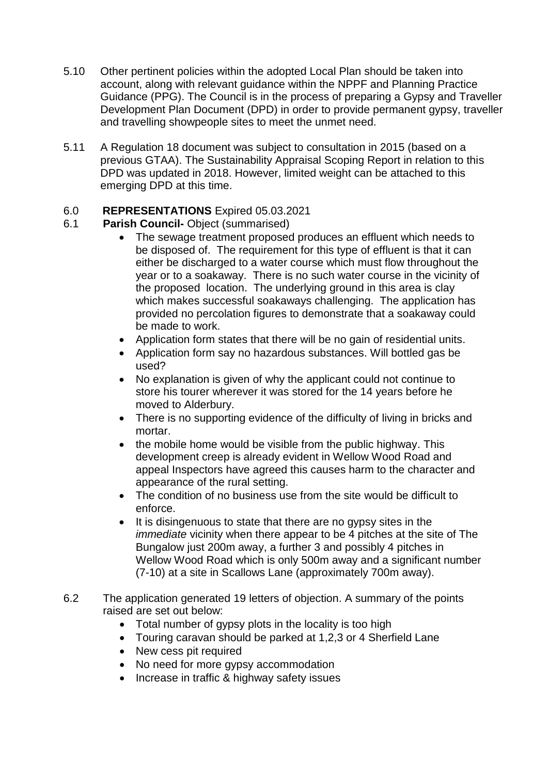- 5.10 Other pertinent policies within the adopted Local Plan should be taken into account, along with relevant guidance within the NPPF and Planning Practice Guidance (PPG). The Council is in the process of preparing a Gypsy and Traveller Development Plan Document (DPD) in order to provide permanent gypsy, traveller and travelling showpeople sites to meet the unmet need.
- 5.11 A Regulation 18 document was subject to consultation in 2015 (based on a previous GTAA). The Sustainability Appraisal Scoping Report in relation to this DPD was updated in 2018. However, limited weight can be attached to this emerging DPD at this time.

## 6.0 **REPRESENTATIONS** Expired 05.03.2021

## 6.1 **Parish Council-** Object (summarised)

- The sewage treatment proposed produces an effluent which needs to be disposed of. The requirement for this type of effluent is that it can either be discharged to a water course which must flow throughout the year or to a soakaway. There is no such water course in the vicinity of the proposed location. The underlying ground in this area is clay which makes successful soakaways challenging. The application has provided no percolation figures to demonstrate that a soakaway could be made to work.
- Application form states that there will be no gain of residential units.
- Application form say no hazardous substances. Will bottled gas be used?
- No explanation is given of why the applicant could not continue to store his tourer wherever it was stored for the 14 years before he moved to Alderbury.
- There is no supporting evidence of the difficulty of living in bricks and mortar.
- the mobile home would be visible from the public highway. This development creep is already evident in Wellow Wood Road and appeal Inspectors have agreed this causes harm to the character and appearance of the rural setting.
- The condition of no business use from the site would be difficult to enforce.
- It is disingenuous to state that there are no gypsy sites in the *immediate* vicinity when there appear to be 4 pitches at the site of The Bungalow just 200m away, a further 3 and possibly 4 pitches in Wellow Wood Road which is only 500m away and a significant number (7-10) at a site in Scallows Lane (approximately 700m away).
- 6.2 The application generated 19 letters of objection. A summary of the points raised are set out below:
	- Total number of gypsy plots in the locality is too high
	- Touring caravan should be parked at 1,2,3 or 4 Sherfield Lane
	- New cess pit required
	- No need for more gypsy accommodation
	- Increase in traffic & highway safety issues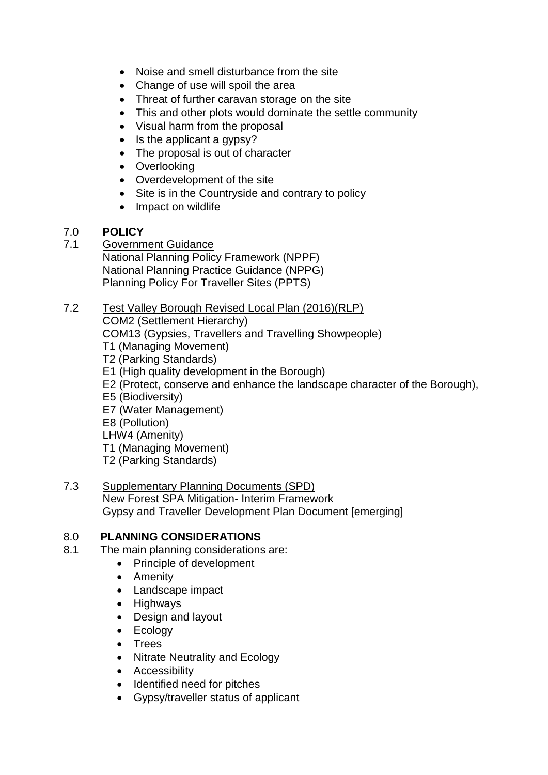- Noise and smell disturbance from the site
- Change of use will spoil the area
- Threat of further caravan storage on the site
- This and other plots would dominate the settle community
- Visual harm from the proposal
- Is the applicant a gypsy?
- The proposal is out of character
- Overlooking
- Overdevelopment of the site
- Site is in the Countryside and contrary to policy
- Impact on wildlife

# 7.0 **POLICY**

7.1 Government Guidance National Planning Policy Framework (NPPF) National Planning Practice Guidance (NPPG) Planning Policy For Traveller Sites (PPTS)

### 7.2 Test Valley Borough Revised Local Plan (2016)(RLP) COM2 (Settlement Hierarchy) COM13 (Gypsies, Travellers and Travelling Showpeople) T1 (Managing Movement) T2 (Parking Standards) E1 (High quality development in the Borough) E2 (Protect, conserve and enhance the landscape character of the Borough), E5 (Biodiversity) E7 (Water Management) E8 (Pollution) LHW4 (Amenity) T1 (Managing Movement) T2 (Parking Standards)

### 7.3 Supplementary Planning Documents (SPD) New Forest SPA Mitigation- Interim Framework Gypsy and Traveller Development Plan Document [emerging]

## 8.0 **PLANNING CONSIDERATIONS**

- 8.1 The main planning considerations are:
	- Principle of development
	- Amenity
	- Landscape impact
	- Highways
	- Design and layout
	- Ecology
	- Trees
	- Nitrate Neutrality and Ecology
	- Accessibility
	- Identified need for pitches
	- Gypsy/traveller status of applicant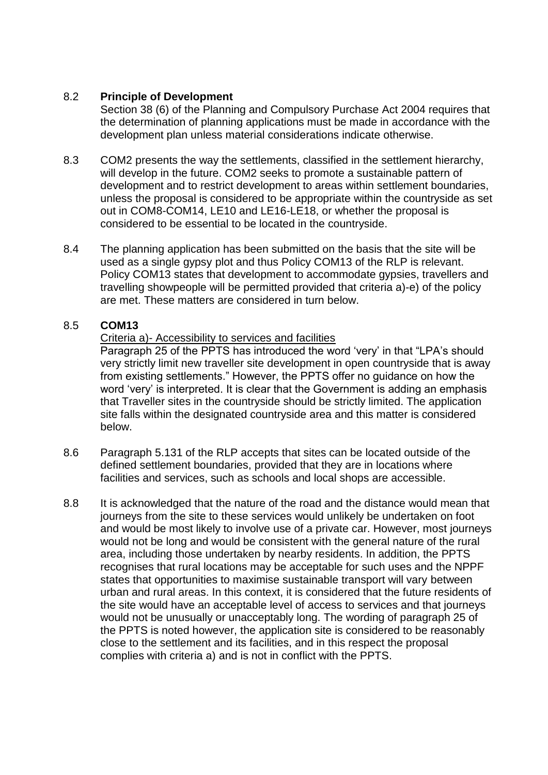### 8.2 **Principle of Development**

Section 38 (6) of the Planning and Compulsory Purchase Act 2004 requires that the determination of planning applications must be made in accordance with the development plan unless material considerations indicate otherwise.

- 8.3 COM2 presents the way the settlements, classified in the settlement hierarchy, will develop in the future. COM2 seeks to promote a sustainable pattern of development and to restrict development to areas within settlement boundaries, unless the proposal is considered to be appropriate within the countryside as set out in COM8-COM14, LE10 and LE16-LE18, or whether the proposal is considered to be essential to be located in the countryside.
- 8.4 The planning application has been submitted on the basis that the site will be used as a single gypsy plot and thus Policy COM13 of the RLP is relevant. Policy COM13 states that development to accommodate gypsies, travellers and travelling showpeople will be permitted provided that criteria a)-e) of the policy are met. These matters are considered in turn below.

### 8.5 **COM13**

### Criteria a)- Accessibility to services and facilities

Paragraph 25 of the PPTS has introduced the word 'very' in that "LPA's should very strictly limit new traveller site development in open countryside that is away from existing settlements." However, the PPTS offer no guidance on how the word 'very' is interpreted. It is clear that the Government is adding an emphasis that Traveller sites in the countryside should be strictly limited. The application site falls within the designated countryside area and this matter is considered below.

- 8.6 Paragraph 5.131 of the RLP accepts that sites can be located outside of the defined settlement boundaries, provided that they are in locations where facilities and services, such as schools and local shops are accessible.
- 8.8 It is acknowledged that the nature of the road and the distance would mean that journeys from the site to these services would unlikely be undertaken on foot and would be most likely to involve use of a private car. However, most journeys would not be long and would be consistent with the general nature of the rural area, including those undertaken by nearby residents. In addition, the PPTS recognises that rural locations may be acceptable for such uses and the NPPF states that opportunities to maximise sustainable transport will vary between urban and rural areas. In this context, it is considered that the future residents of the site would have an acceptable level of access to services and that journeys would not be unusually or unacceptably long. The wording of paragraph 25 of the PPTS is noted however, the application site is considered to be reasonably close to the settlement and its facilities, and in this respect the proposal complies with criteria a) and is not in conflict with the PPTS.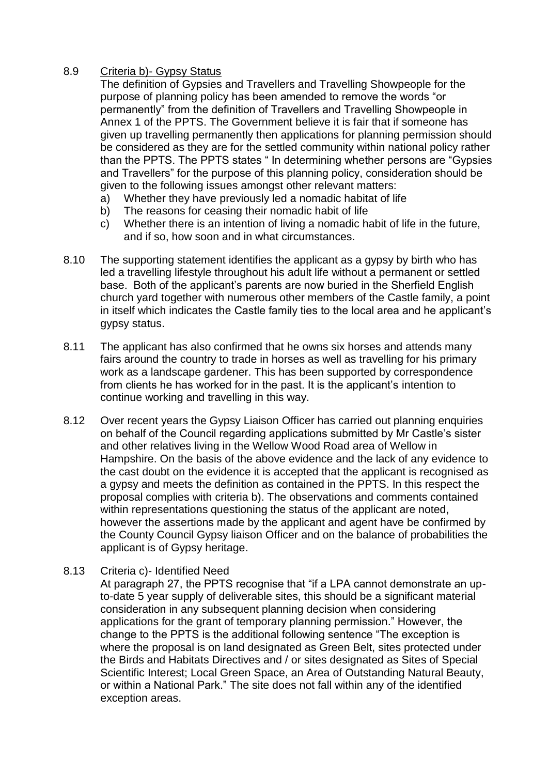### 8.9 Criteria b)- Gypsy Status

The definition of Gypsies and Travellers and Travelling Showpeople for the purpose of planning policy has been amended to remove the words "or permanently" from the definition of Travellers and Travelling Showpeople in Annex 1 of the PPTS. The Government believe it is fair that if someone has given up travelling permanently then applications for planning permission should be considered as they are for the settled community within national policy rather than the PPTS. The PPTS states " In determining whether persons are "Gypsies and Travellers" for the purpose of this planning policy, consideration should be given to the following issues amongst other relevant matters:

- a) Whether they have previously led a nomadic habitat of life
- b) The reasons for ceasing their nomadic habit of life
- c) Whether there is an intention of living a nomadic habit of life in the future, and if so, how soon and in what circumstances.
- 8.10 The supporting statement identifies the applicant as a gypsy by birth who has led a travelling lifestyle throughout his adult life without a permanent or settled base. Both of the applicant's parents are now buried in the Sherfield English church yard together with numerous other members of the Castle family, a point in itself which indicates the Castle family ties to the local area and he applicant's gypsy status.
- 8.11 The applicant has also confirmed that he owns six horses and attends many fairs around the country to trade in horses as well as travelling for his primary work as a landscape gardener. This has been supported by correspondence from clients he has worked for in the past. It is the applicant's intention to continue working and travelling in this way.
- 8.12 Over recent years the Gypsy Liaison Officer has carried out planning enquiries on behalf of the Council regarding applications submitted by Mr Castle's sister and other relatives living in the Wellow Wood Road area of Wellow in Hampshire. On the basis of the above evidence and the lack of any evidence to the cast doubt on the evidence it is accepted that the applicant is recognised as a gypsy and meets the definition as contained in the PPTS. In this respect the proposal complies with criteria b). The observations and comments contained within representations questioning the status of the applicant are noted, however the assertions made by the applicant and agent have be confirmed by the County Council Gypsy liaison Officer and on the balance of probabilities the applicant is of Gypsy heritage.
- 8.13 Criteria c)- Identified Need

At paragraph 27, the PPTS recognise that "if a LPA cannot demonstrate an upto-date 5 year supply of deliverable sites, this should be a significant material consideration in any subsequent planning decision when considering applications for the grant of temporary planning permission." However, the change to the PPTS is the additional following sentence "The exception is where the proposal is on land designated as Green Belt, sites protected under the Birds and Habitats Directives and / or sites designated as Sites of Special Scientific Interest; Local Green Space, an Area of Outstanding Natural Beauty, or within a National Park." The site does not fall within any of the identified exception areas.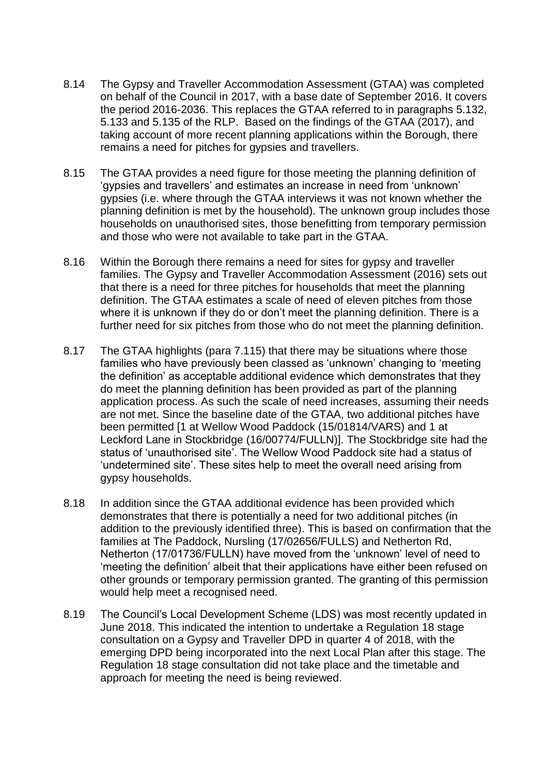- 8.14 The Gypsy and Traveller Accommodation Assessment (GTAA) was completed on behalf of the Council in 2017, with a base date of September 2016. It covers the period 2016-2036. This replaces the GTAA referred to in paragraphs 5.132, 5.133 and 5.135 of the RLP. Based on the findings of the GTAA (2017), and taking account of more recent planning applications within the Borough, there remains a need for pitches for gypsies and travellers.
- 8.15 The GTAA provides a need figure for those meeting the planning definition of 'gypsies and travellers' and estimates an increase in need from 'unknown' gypsies (i.e. where through the GTAA interviews it was not known whether the planning definition is met by the household). The unknown group includes those households on unauthorised sites, those benefitting from temporary permission and those who were not available to take part in the GTAA.
- 8.16 Within the Borough there remains a need for sites for gypsy and traveller families. The Gypsy and Traveller Accommodation Assessment (2016) sets out that there is a need for three pitches for households that meet the planning definition. The GTAA estimates a scale of need of eleven pitches from those where it is unknown if they do or don't meet the planning definition. There is a further need for six pitches from those who do not meet the planning definition.
- 8.17 The GTAA highlights (para 7.115) that there may be situations where those families who have previously been classed as 'unknown' changing to 'meeting the definition' as acceptable additional evidence which demonstrates that they do meet the planning definition has been provided as part of the planning application process. As such the scale of need increases, assuming their needs are not met. Since the baseline date of the GTAA, two additional pitches have been permitted [1 at Wellow Wood Paddock (15/01814/VARS) and 1 at Leckford Lane in Stockbridge (16/00774/FULLN)]. The Stockbridge site had the status of 'unauthorised site'. The Wellow Wood Paddock site had a status of 'undetermined site'. These sites help to meet the overall need arising from gypsy households.
- 8.18 In addition since the GTAA additional evidence has been provided which demonstrates that there is potentially a need for two additional pitches (in addition to the previously identified three). This is based on confirmation that the families at The Paddock, Nursling (17/02656/FULLS) and Netherton Rd, Netherton (17/01736/FULLN) have moved from the 'unknown' level of need to 'meeting the definition' albeit that their applications have either been refused on other grounds or temporary permission granted. The granting of this permission would help meet a recognised need.
- 8.19 The Council's Local Development Scheme (LDS) was most recently updated in June 2018. This indicated the intention to undertake a Regulation 18 stage consultation on a Gypsy and Traveller DPD in quarter 4 of 2018, with the emerging DPD being incorporated into the next Local Plan after this stage. The Regulation 18 stage consultation did not take place and the timetable and approach for meeting the need is being reviewed.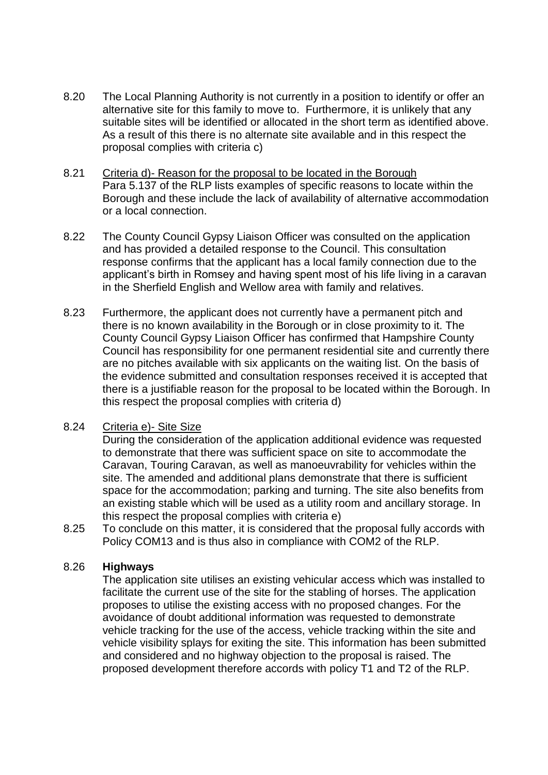- 8.20 The Local Planning Authority is not currently in a position to identify or offer an alternative site for this family to move to. Furthermore, it is unlikely that any suitable sites will be identified or allocated in the short term as identified above. As a result of this there is no alternate site available and in this respect the proposal complies with criteria c)
- 8.21 Criteria d)- Reason for the proposal to be located in the Borough Para 5.137 of the RLP lists examples of specific reasons to locate within the Borough and these include the lack of availability of alternative accommodation or a local connection.
- 8.22 The County Council Gypsy Liaison Officer was consulted on the application and has provided a detailed response to the Council. This consultation response confirms that the applicant has a local family connection due to the applicant's birth in Romsey and having spent most of his life living in a caravan in the Sherfield English and Wellow area with family and relatives.
- 8.23 Furthermore, the applicant does not currently have a permanent pitch and there is no known availability in the Borough or in close proximity to it. The County Council Gypsy Liaison Officer has confirmed that Hampshire County Council has responsibility for one permanent residential site and currently there are no pitches available with six applicants on the waiting list. On the basis of the evidence submitted and consultation responses received it is accepted that there is a justifiable reason for the proposal to be located within the Borough. In this respect the proposal complies with criteria d)

## 8.24 Criteria e)- Site Size

During the consideration of the application additional evidence was requested to demonstrate that there was sufficient space on site to accommodate the Caravan, Touring Caravan, as well as manoeuvrability for vehicles within the site. The amended and additional plans demonstrate that there is sufficient space for the accommodation; parking and turning. The site also benefits from an existing stable which will be used as a utility room and ancillary storage. In this respect the proposal complies with criteria e)

8.25 To conclude on this matter, it is considered that the proposal fully accords with Policy COM13 and is thus also in compliance with COM2 of the RLP.

### 8.26 **Highways**

The application site utilises an existing vehicular access which was installed to facilitate the current use of the site for the stabling of horses. The application proposes to utilise the existing access with no proposed changes. For the avoidance of doubt additional information was requested to demonstrate vehicle tracking for the use of the access, vehicle tracking within the site and vehicle visibility splays for exiting the site. This information has been submitted and considered and no highway objection to the proposal is raised. The proposed development therefore accords with policy T1 and T2 of the RLP.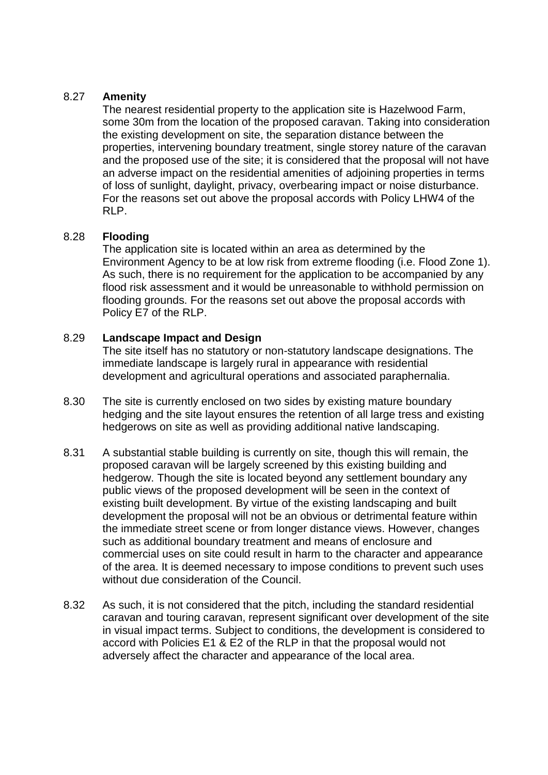### 8.27 **Amenity**

The nearest residential property to the application site is Hazelwood Farm, some 30m from the location of the proposed caravan. Taking into consideration the existing development on site, the separation distance between the properties, intervening boundary treatment, single storey nature of the caravan and the proposed use of the site; it is considered that the proposal will not have an adverse impact on the residential amenities of adjoining properties in terms of loss of sunlight, daylight, privacy, overbearing impact or noise disturbance. For the reasons set out above the proposal accords with Policy LHW4 of the RLP.

### 8.28 **Flooding**

The application site is located within an area as determined by the Environment Agency to be at low risk from extreme flooding (i.e. Flood Zone 1). As such, there is no requirement for the application to be accompanied by any flood risk assessment and it would be unreasonable to withhold permission on flooding grounds. For the reasons set out above the proposal accords with Policy E7 of the RLP.

### 8.29 **Landscape Impact and Design**

The site itself has no statutory or non-statutory landscape designations. The immediate landscape is largely rural in appearance with residential development and agricultural operations and associated paraphernalia.

- 8.30 The site is currently enclosed on two sides by existing mature boundary hedging and the site layout ensures the retention of all large tress and existing hedgerows on site as well as providing additional native landscaping.
- 8.31 A substantial stable building is currently on site, though this will remain, the proposed caravan will be largely screened by this existing building and hedgerow. Though the site is located beyond any settlement boundary any public views of the proposed development will be seen in the context of existing built development. By virtue of the existing landscaping and built development the proposal will not be an obvious or detrimental feature within the immediate street scene or from longer distance views. However, changes such as additional boundary treatment and means of enclosure and commercial uses on site could result in harm to the character and appearance of the area. It is deemed necessary to impose conditions to prevent such uses without due consideration of the Council.
- 8.32 As such, it is not considered that the pitch, including the standard residential caravan and touring caravan, represent significant over development of the site in visual impact terms. Subject to conditions, the development is considered to accord with Policies E1 & E2 of the RLP in that the proposal would not adversely affect the character and appearance of the local area.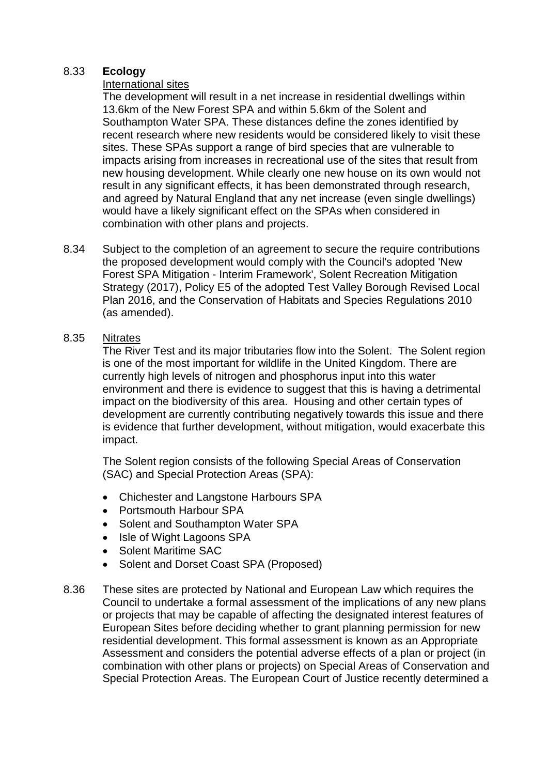### 8.33 **Ecology**

### International sites

The development will result in a net increase in residential dwellings within 13.6km of the New Forest SPA and within 5.6km of the Solent and Southampton Water SPA. These distances define the zones identified by recent research where new residents would be considered likely to visit these sites. These SPAs support a range of bird species that are vulnerable to impacts arising from increases in recreational use of the sites that result from new housing development. While clearly one new house on its own would not result in any significant effects, it has been demonstrated through research, and agreed by Natural England that any net increase (even single dwellings) would have a likely significant effect on the SPAs when considered in combination with other plans and projects.

8.34 Subject to the completion of an agreement to secure the require contributions the proposed development would comply with the Council's adopted 'New Forest SPA Mitigation - Interim Framework', Solent Recreation Mitigation Strategy (2017), Policy E5 of the adopted Test Valley Borough Revised Local Plan 2016, and the Conservation of Habitats and Species Regulations 2010 (as amended).

### 8.35 Nitrates

The River Test and its major tributaries flow into the Solent. The Solent region is one of the most important for wildlife in the United Kingdom. There are currently high levels of nitrogen and phosphorus input into this water environment and there is evidence to suggest that this is having a detrimental impact on the biodiversity of this area. Housing and other certain types of development are currently contributing negatively towards this issue and there is evidence that further development, without mitigation, would exacerbate this impact.

The Solent region consists of the following Special Areas of Conservation (SAC) and Special Protection Areas (SPA):

- Chichester and Langstone Harbours SPA
- Portsmouth Harbour SPA
- Solent and Southampton Water SPA
- Isle of Wight Lagoons SPA
- Solent Maritime SAC
- Solent and Dorset Coast SPA (Proposed)
- 8.36 These sites are protected by National and European Law which requires the Council to undertake a formal assessment of the implications of any new plans or projects that may be capable of affecting the designated interest features of European Sites before deciding whether to grant planning permission for new residential development. This formal assessment is known as an Appropriate Assessment and considers the potential adverse effects of a plan or project (in combination with other plans or projects) on Special Areas of Conservation and Special Protection Areas. The European Court of Justice recently determined a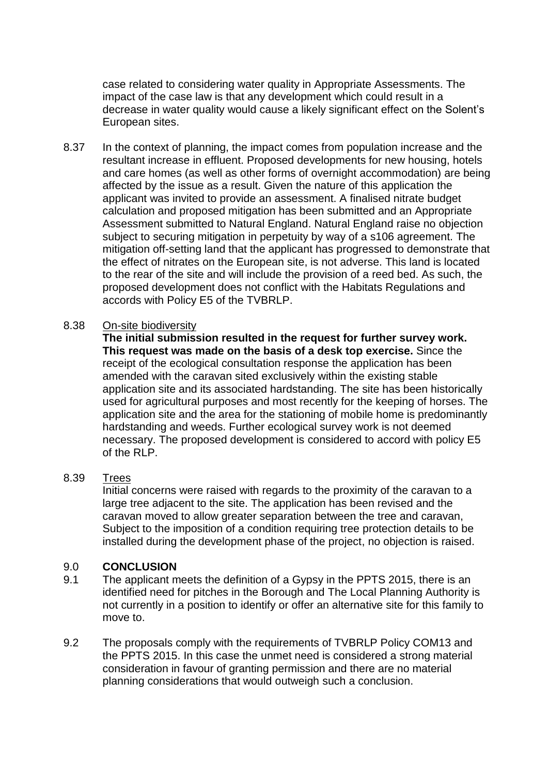case related to considering water quality in Appropriate Assessments. The impact of the case law is that any development which could result in a decrease in water quality would cause a likely significant effect on the Solent's European sites.

8.37 In the context of planning, the impact comes from population increase and the resultant increase in effluent. Proposed developments for new housing, hotels and care homes (as well as other forms of overnight accommodation) are being affected by the issue as a result. Given the nature of this application the applicant was invited to provide an assessment. A finalised nitrate budget calculation and proposed mitigation has been submitted and an Appropriate Assessment submitted to Natural England. Natural England raise no objection subject to securing mitigation in perpetuity by way of a s106 agreement. The mitigation off-setting land that the applicant has progressed to demonstrate that the effect of nitrates on the European site, is not adverse. This land is located to the rear of the site and will include the provision of a reed bed. As such, the proposed development does not conflict with the Habitats Regulations and accords with Policy E5 of the TVBRLP.

#### 8.38 On-site biodiversity

**The initial submission resulted in the request for further survey work. This request was made on the basis of a desk top exercise.** Since the receipt of the ecological consultation response the application has been amended with the caravan sited exclusively within the existing stable application site and its associated hardstanding. The site has been historically used for agricultural purposes and most recently for the keeping of horses. The application site and the area for the stationing of mobile home is predominantly hardstanding and weeds. Further ecological survey work is not deemed necessary. The proposed development is considered to accord with policy E5 of the RLP.

### 8.39 Trees

Initial concerns were raised with regards to the proximity of the caravan to a large tree adjacent to the site. The application has been revised and the caravan moved to allow greater separation between the tree and caravan, Subject to the imposition of a condition requiring tree protection details to be installed during the development phase of the project, no objection is raised.

### 9.0 **CONCLUSION**

- 9.1 The applicant meets the definition of a Gypsy in the PPTS 2015, there is an identified need for pitches in the Borough and The Local Planning Authority is not currently in a position to identify or offer an alternative site for this family to move to.
- 9.2 The proposals comply with the requirements of TVBRLP Policy COM13 and the PPTS 2015. In this case the unmet need is considered a strong material consideration in favour of granting permission and there are no material planning considerations that would outweigh such a conclusion.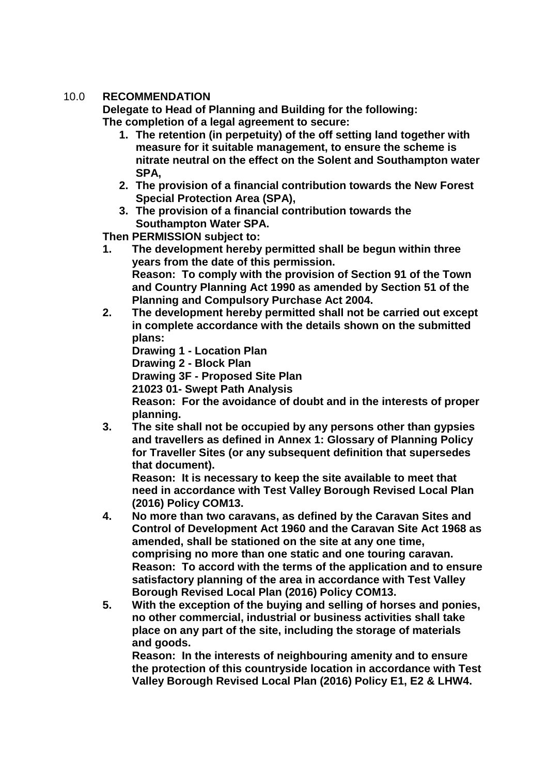# 10.0 **RECOMMENDATION**

**Delegate to Head of Planning and Building for the following: The completion of a legal agreement to secure:**

- **1. The retention (in perpetuity) of the off setting land together with measure for it suitable management, to ensure the scheme is nitrate neutral on the effect on the Solent and Southampton water SPA,**
- **2. The provision of a financial contribution towards the New Forest Special Protection Area (SPA),**
- **3. The provision of a financial contribution towards the Southampton Water SPA.**

**Then PERMISSION subject to:**

- **1. The development hereby permitted shall be begun within three years from the date of this permission. Reason: To comply with the provision of Section 91 of the Town and Country Planning Act 1990 as amended by Section 51 of the Planning and Compulsory Purchase Act 2004.**
- **2. The development hereby permitted shall not be carried out except in complete accordance with the details shown on the submitted plans:**

**Drawing 1 - Location Plan**

**Drawing 2 - Block Plan**

**Drawing 3F - Proposed Site Plan**

**21023 01- Swept Path Analysis**

**Reason: For the avoidance of doubt and in the interests of proper planning.**

**3. The site shall not be occupied by any persons other than gypsies and travellers as defined in Annex 1: Glossary of Planning Policy for Traveller Sites (or any subsequent definition that supersedes that document).**

**Reason: It is necessary to keep the site available to meet that need in accordance with Test Valley Borough Revised Local Plan (2016) Policy COM13.**

- **4. No more than two caravans, as defined by the Caravan Sites and Control of Development Act 1960 and the Caravan Site Act 1968 as amended, shall be stationed on the site at any one time, comprising no more than one static and one touring caravan. Reason: To accord with the terms of the application and to ensure satisfactory planning of the area in accordance with Test Valley Borough Revised Local Plan (2016) Policy COM13.**
- **5. With the exception of the buying and selling of horses and ponies, no other commercial, industrial or business activities shall take place on any part of the site, including the storage of materials and goods.**

**Reason: In the interests of neighbouring amenity and to ensure the protection of this countryside location in accordance with Test Valley Borough Revised Local Plan (2016) Policy E1, E2 & LHW4.**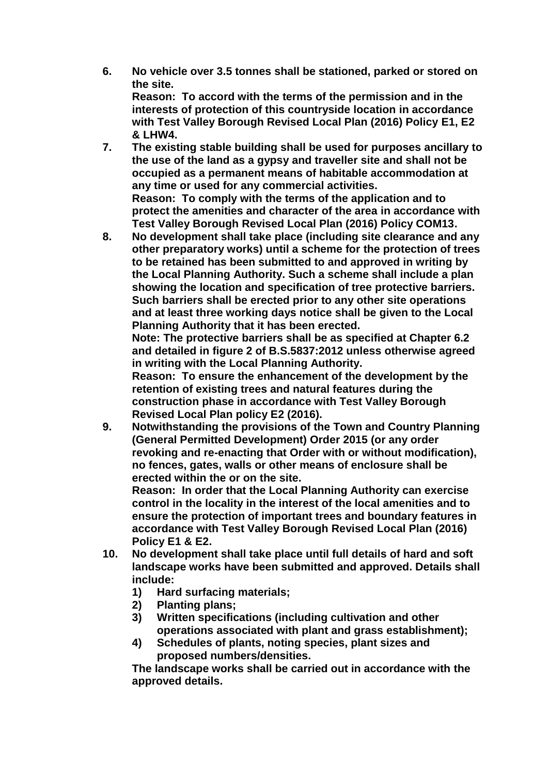**6. No vehicle over 3.5 tonnes shall be stationed, parked or stored on the site. Reason: To accord with the terms of the permission and in the** 

**interests of protection of this countryside location in accordance with Test Valley Borough Revised Local Plan (2016) Policy E1, E2 & LHW4.**

- **7. The existing stable building shall be used for purposes ancillary to the use of the land as a gypsy and traveller site and shall not be occupied as a permanent means of habitable accommodation at any time or used for any commercial activities. Reason: To comply with the terms of the application and to protect the amenities and character of the area in accordance with Test Valley Borough Revised Local Plan (2016) Policy COM13.**
- **8. No development shall take place (including site clearance and any other preparatory works) until a scheme for the protection of trees to be retained has been submitted to and approved in writing by the Local Planning Authority. Such a scheme shall include a plan showing the location and specification of tree protective barriers. Such barriers shall be erected prior to any other site operations and at least three working days notice shall be given to the Local Planning Authority that it has been erected.**

**Note: The protective barriers shall be as specified at Chapter 6.2 and detailed in figure 2 of B.S.5837:2012 unless otherwise agreed in writing with the Local Planning Authority.**

**Reason: To ensure the enhancement of the development by the retention of existing trees and natural features during the construction phase in accordance with Test Valley Borough Revised Local Plan policy E2 (2016).**

**9. Notwithstanding the provisions of the Town and Country Planning (General Permitted Development) Order 2015 (or any order revoking and re-enacting that Order with or without modification), no fences, gates, walls or other means of enclosure shall be erected within the or on the site.**

**Reason: In order that the Local Planning Authority can exercise control in the locality in the interest of the local amenities and to ensure the protection of important trees and boundary features in accordance with Test Valley Borough Revised Local Plan (2016) Policy E1 & E2.**

- **10. No development shall take place until full details of hard and soft landscape works have been submitted and approved. Details shall include:** 
	- **1) Hard surfacing materials;**
	- **2) Planting plans;**
	- **3) Written specifications (including cultivation and other operations associated with plant and grass establishment);**
	- **4) Schedules of plants, noting species, plant sizes and proposed numbers/densities.**

**The landscape works shall be carried out in accordance with the approved details.**